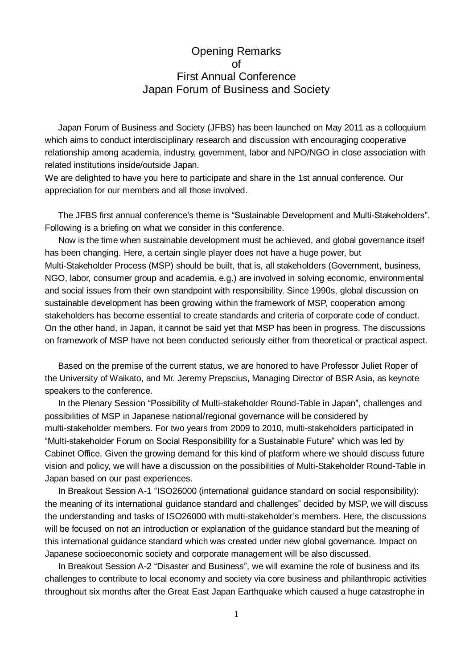## Opening Remarks of First Annual Conference Japan Forum of Business and Society

Japan Forum of Business and Society (JFBS) has been launched on May 2011 as a colloquium which aims to conduct interdisciplinary research and discussion with encouraging cooperative relationship among academia, industry, government, labor and NPO/NGO in close association with related institutions inside/outside Japan.

We are delighted to have you here to participate and share in the 1st annual conference. Our appreciation for our members and all those involved.

The JFBS first annual conference's theme is "Sustainable Development and Multi-Stakeholders". Following is a briefing on what we consider in this conference.

 Now is the time when sustainable development must be achieved, and global governance itself has been changing. Here, a certain single player does not have a huge power, but Multi-Stakeholder Process (MSP) should be built, that is, all stakeholders (Government, business, NGO, labor, consumer group and academia, e.g.) are involved in solving economic, environmental and social issues from their own standpoint with responsibility. Since 1990s, global discussion on sustainable development has been growing within the framework of MSP, cooperation among stakeholders has become essential to create standards and criteria of corporate code of conduct. On the other hand, in Japan, it cannot be said yet that MSP has been in progress. The discussions on framework of MSP have not been conducted seriously either from theoretical or practical aspect.

Based on the premise of the current status, we are honored to have Professor Juliet Roper of the University of Waikato, and Mr. Jeremy Prepscius, Managing Director of BSR Asia, as keynote speakers to the conference.

In the Plenary Session "Possibility of Multi-stakeholder Round-Table in Japan", challenges and possibilities of MSP in Japanese national/regional governance will be considered by multi-stakeholder members. For two years from 2009 to 2010, multi-stakeholders participated in "Multi-stakeholder Forum on Social Responsibility for a Sustainable Future" which was led by Cabinet Office. Given the growing demand for this kind of platform where we should discuss future vision and policy, we will have a discussion on the possibilities of Multi-Stakeholder Round-Table in Japan based on our past experiences.

In Breakout Session A-1 "ISO26000 (international guidance standard on social responsibility): the meaning of its international guidance standard and challenges" decided by MSP, we will discuss the understanding and tasks of ISO26000 with multi-stakeholder's members. Here, the discussions will be focused on not an introduction or explanation of the guidance standard but the meaning of this international guidance standard which was created under new global governance. Impact on Japanese socioeconomic society and corporate management will be also discussed.

In Breakout Session A-2 "Disaster and Business", we will examine the role of business and its challenges to contribute to local economy and society via core business and philanthropic activities throughout six months after the Great East Japan Earthquake which caused a huge catastrophe in